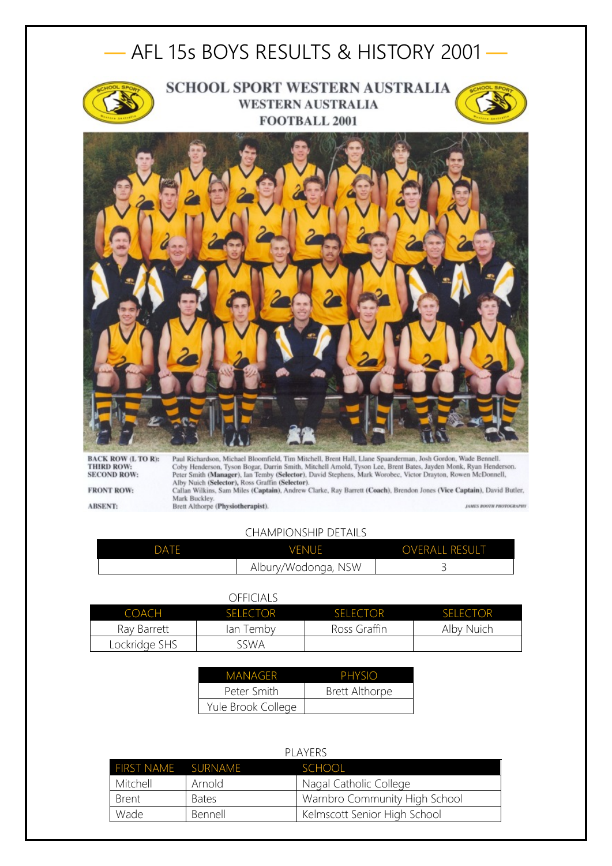

Coby Henderson, Tyson Bogar, Darrin Smith, Mitchell Arnold, Tyson Lee, Brent Bates, Jayden Monk, Ryan Henderson.<br>Peter Smith (Manager), Ian Temby (Selector), David Stephens, Mark Worobec, Victor Drayton, Rowen McDonnell, A Callan Wilkins, Sam Miles (Captain), Andrew Clarke, Ray Barrett (Coach), Brendon Jones (Vice Captain), David Butler, Mark Buckley.<br>Brett Althorpe (Physiotherapist). JAMES BOOTH PHOTOGRAPHY

**FRONT ROW: ABSENT:** 

## CHAMPIONSHIP DETAILS

| DATF | <b>VENUE</b>        | <b>OVERALL RESULT</b> |
|------|---------------------|-----------------------|
|      | Albury/Wodonga, NSW |                       |

## OFFICIALS

| <b>COACH</b>  | <b>SELECTOR</b> | <b>SELECTOR</b> | <b>SELECTOR</b> |
|---------------|-----------------|-----------------|-----------------|
| Ray Barrett   | lan Temby       | Ross Graffin    | Alby Nuich      |
| Lockridge SHS | sswa            |                 |                 |

| MANAGER            | PHYSIO                |
|--------------------|-----------------------|
| Peter Smith        | <b>Brett Althorpe</b> |
| Yule Brook College |                       |

| PI AYFRS           |              |                               |
|--------------------|--------------|-------------------------------|
| FIRST NAME SURNAME |              | <b>SCHOOL</b>                 |
| Mitchell           | Arnold       | Nagal Catholic College        |
| <b>Brent</b>       | <b>Bates</b> | Warnbro Community High School |
| Wade               | Bennell      | Kelmscott Senior High School  |